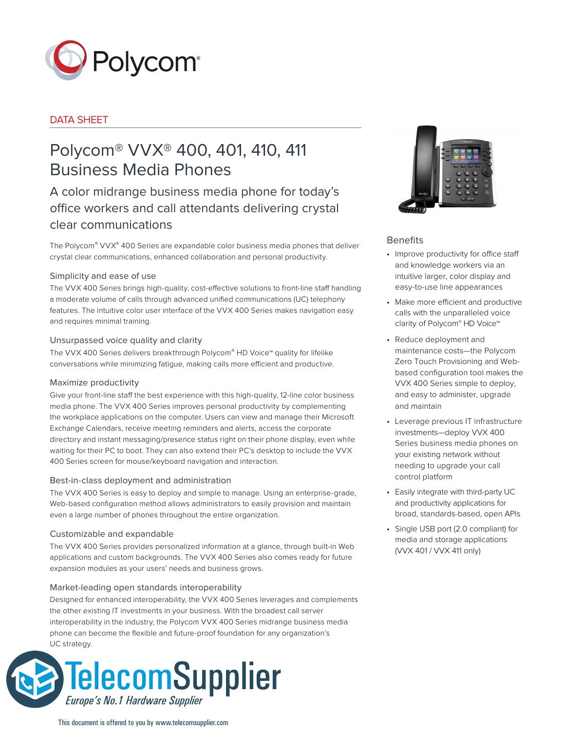

# DATA SHEET

# Polycom® VVX® 400, 401, 410, 411 Business Media Phones

A color midrange business media phone for today's office workers and call attendants delivering crystal clear communications

The Polycom® VVX® 400 Series are expandable color business media phones that deliver crystal clear communications, enhanced collaboration and personal productivity.

# Simplicity and ease of use

The VVX 400 Series brings high-quality, cost-effective solutions to front-line staff handling a moderate volume of calls through advanced unified communications (UC) telephony features. The intuitive color user interface of the VVX 400 Series makes navigation easy and requires minimal training.

# Unsurpassed voice quality and clarity

The VVX 400 Series delivers breakthrough Polycom® HD Voice™ quality for lifelike conversations while minimizing fatigue, making calls more efficient and productive.

# Maximize productivity

Give your front-line staff the best experience with this high-quality, 12-line color business media phone. The VVX 400 Series improves personal productivity by complementing the workplace applications on the computer. Users can view and manage their Microsoft Exchange Calendars, receive meeting reminders and alerts, access the corporate directory and instant messaging/presence status right on their phone display, even while waiting for their PC to boot. They can also extend their PC's desktop to include the VVX 400 Series screen for mouse/keyboard navigation and interaction.

# Best-in-class deployment and administration

The VVX 400 Series is easy to deploy and simple to manage. Using an enterprise-grade, Web-based configuration method allows administrators to easily provision and maintain even a large number of phones throughout the entire organization.

# Customizable and expandable

The VVX 400 Series provides personalized information at a glance, through built-in Web applications and custom backgrounds. The VVX 400 Series also comes ready for future expansion modules as your users' needs and business grows.

# Market-leading open standards interoperability

Designed for enhanced interoperability, the VVX 400 Series leverages and complements the other existing IT investments in your business. With the broadest call server interoperability in the industry, the Polycom VVX 400 Series midrange business media phone can become the flexible and future-proof foundation for any organization's UC strategy.





# Benefits

- Improve productivity for office staff and knowledge workers via an intuitive larger, color display and easy-to-use line appearances
- Make more efficient and productive calls with the unparalleled voice clarity of Polycom® HD Voice™
- Reduce deployment and maintenance costs—the Polycom Zero Touch Provisioning and Webbased configuration tool makes the VVX 400 Series simple to deploy, and easy to administer, upgrade and maintain
- Leverage previous IT infrastructure investments—deploy VVX 400 Series business media phones on your existing network without needing to upgrade your call control platform
- Easily integrate with third-party UC and productivity applications for broad, standards-based, open APIs
- Single USB port (2.0 compliant) for media and storage applications (VVX 401 / VVX 411 only)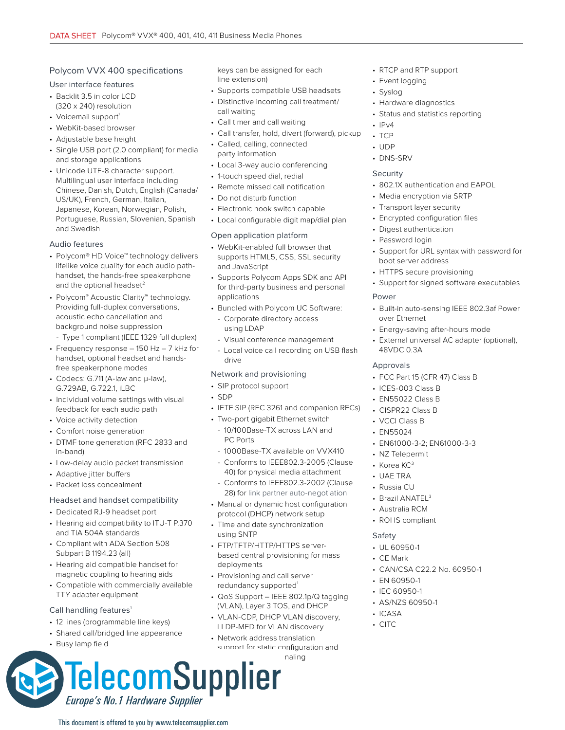# Polycom VVX 400 specifications

# User interface features

- Backlit 3.5 in color LCD (320 x 240) resolution
- Voicemail support<sup>1</sup>
- WebKit-based browser
- Adjustable base height
- Single USB port (2.0 compliant) for media and storage applications
- Unicode UTF-8 character support. Multilingual user interface including Chinese, Danish, Dutch, English (Canada/ US/UK), French, German, Italian, Japanese, Korean, Norwegian, Polish, Portuguese, Russian, Slovenian, Spanish and Swedish

#### Audio features

- Polycom® HD Voice™ technology delivers lifelike voice quality for each audio pathhandset, the hands-free speakerphone and the optional headset<sup>2</sup>
- Polycom® Acoustic Clarity™ technology. Providing full-duplex conversations, acoustic echo cancellation and background noise suppression
	- Type 1 compliant (IEEE 1329 full duplex)
- Frequency response 150 Hz 7 kHz for handset, optional headset and handsfree speakerphone modes
- Codecs: G.711 (A-law and μ-law), G.729AB, G.722.1, iLBC
- Individual volume settings with visual feedback for each audio path
- Voice activity detection
- Comfort noise generation
- DTMF tone generation (RFC 2833 and in-band)
- Low-delay audio packet transmission
- Adaptive jitter buffers
- Packet loss concealment

# Headset and handset compatibility

- Dedicated RJ-9 headset port
- Hearing aid compatibility to ITU-T P.370 and TIA 504A standards
- Compliant with ADA Section 508 Subpart B 1194.23 (all)
- Hearing aid compatible handset for magnetic coupling to hearing aids
- Compatible with commercially available TTY adapter equipment

#### Call handling features<sup>1</sup>

- 12 lines (programmable line keys)
- Shared call/bridged line appearance

 $\bullet$  Fig. is a paper and the line appearance (1 or more line  $\mathcal{L}$ 

This document is offered to you by www.telecomsupplier.com

Europe's No.1 Hardware Supplier

• Busy lamp field

keys can be assigned for each line extension)

- Supports compatible USB headsets
- Distinctive incoming call treatment/ call waiting
- Call timer and call waiting
- Call transfer, hold, divert (forward), pickup
- Called, calling, connected
- party information • Local 3-way audio conferencing
- 1-touch speed dial, redial
- Remote missed call notification
- Do not disturb function
- Electronic hook switch capable
- Local configurable digit map/dial plan

## Open application platform

- WebKit-enabled full browser that supports HTML5, CSS, SSL security and JavaScript
- Supports Polycom Apps SDK and API for third-party business and personal applications
- Bundled with Polycom UC Software:
	- Corporate directory access using LDAP
	- Visual conference management
	- Local voice call recording on USB flash drive

# Network and provisioning

- SIP protocol support
- SDP
- IETF SIP (RFC 3261 and companion RFCs)
- Two-port gigabit Ethernet switch
- 10/100Base-TX across LAN and PC Ports
- 1000Base-TX available on VVX410 - Conforms to IEEE802.3-2005 (Clause
- 40) for physical media attachment - Conforms to IEEE802.3-2002 (Clause
- 28) for link partner auto-negotiation • Manual or dynamic host configuration
- protocol (DHCP) network setup
- Time and date synchronization using SNTP
- FTP/TFTP/HTTP/HTTPS serverbased central provisioning for mass deployments
- Provisioning and call server redundancy supported
- QoS Support IEEE 802.1p/Q tagging (VLAN), Layer 3 TOS, and DHCP
- VLAN-CDP, DHCP VLAN discovery, LLDP-MED for VLAN discovery
- Network address translation support for static configuration and TelecomSupplier
- RTCP and RTP support
- Event logging
- Syslog
- Hardware diagnostics
- Status and statistics reporting
- $\cdot$  IPv4
- $\cdot$  TCP
- UDP
- DNS-SRV

## Security

- 802.1X authentication and EAPOL
- Media encryption via SRTP
- Transport layer security
- Encrypted configuration files
- Digest authentication
- Password login
- Support for URL syntax with password for boot server address
- HTTPS secure provisioning
- Support for signed software executables

## Power

- Built-in auto-sensing IEEE 802.3af Power over Ethernet
- Energy-saving after-hours mode
- External universal AC adapter (optional), 48VDC 0.3A

# Approvals

- FCC Part 15 (CFR 47) Class B
- ICES-003 Class B
- EN55022 Class B
- CISPR22 Class B
- VCCI Class B
- EN55024
- EN61000-3-2; EN61000-3-3

• CAN/CSA C22.2 No. 60950-1

- NZ Telepermit
- Korea KC<sup>3</sup> • UAE TRA

• Russia CU • Brazil ANATEL<sup>3</sup> • Australia RCM • ROHS compliant

Safety • UL 60950-1 • CE Mark

• EN 60950-1 • IEC 60950-1 • AS/NZS 60950-1

• ICASA • CITC